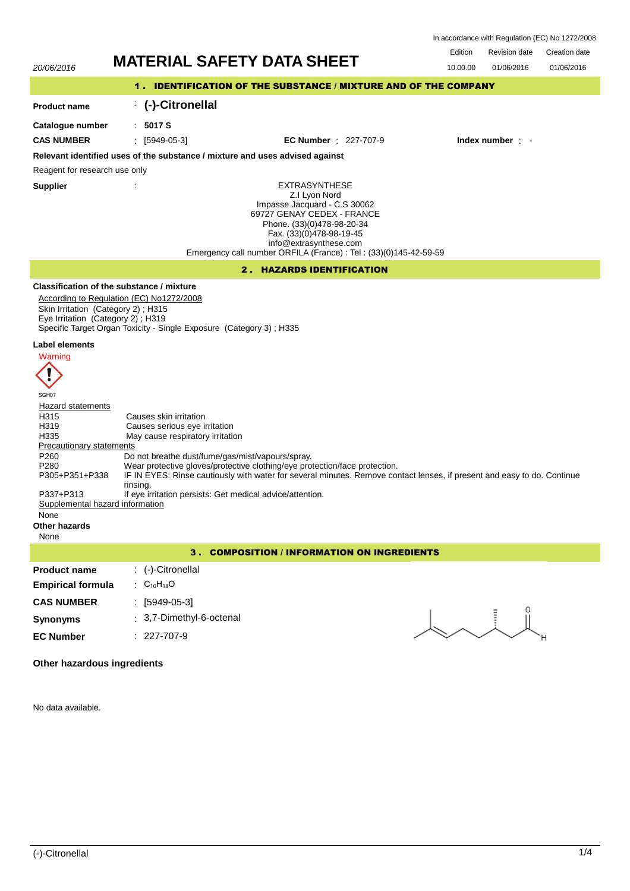| In accordance with Regulation (EC) No 1272/2008 |  |
|-------------------------------------------------|--|
|-------------------------------------------------|--|

Edition Revision date Creation date

01/06/2016

# 20/06/2016 **MATERIAL SAFETY DATA SHEET** 10.00.00 01/06/2016

# 1 . IDENTIFICATION OF THE SUBSTANCE / MIXTURE AND OF THE COMPANY

#### **Product name** : **(-)-Citronellal**

**Catalogue number**

: **5017 S**

**CAS NUMBER** : [5949-05-3] **EC Number** : 227-707-9 **Index number** : -

# **Relevant identified uses of the substance / mixture and uses advised against**

Reagent for research use only

**Supplier** :

EXTRASYNTHESE Z.I Lyon Nord Impasse Jacquard - C.S 30062 69727 GENAY CEDEX - FRANCE Phone. (33)(0)478-98-20-34 Fax. (33)(0)478-98-19-45 info@extrasynthese.com Emergency call number ORFILA (France) : Tel : (33)(0)145-42-59-59

# 2 . HAZARDS IDENTIFICATION

# **Classification of the substance / mixture**

According to Regulation (EC) No1272/2008 Skin Irritation (Category 2) ; H315 Eye Irritation (Category 2) ; H319 Specific Target Organ Toxicity - Single Exposure (Category 3) ; H335

# **Label elements**



SGH07 **Hazard statements** H315 Causes skin irritation H319 Causes serious eye irritation<br>
H335 May cause respiratory irritation May cause respiratory irritation Precautionary statements P260 Do not breathe dust/fume/gas/mist/vapours/spray.<br>P280 Wear protective gloves/protective clothing/eye pro Wear protective gloves/protective clothing/eye protection/face protection. IF IN EYES: Rinse cautiously with water for several minutes. Remove contact lenses, if present and easy to do. Continue rinsing. P305+P351+P338 P337+P313 If eye irritation persists: Get medical advice/attention.<br>Supplemental hazard information Supplemental hazard None **Other hazards** None

3 . COMPOSITION / INFORMATION ON INGREDIENTS

# **Product name Empirical formula** : (-)-Citronellal :  $C_{10}H_{18}O$ **CAS NUMBER** : [5949-05-3] **Synonyms** : 3,7-Dimethyl-6-octenal **EC Number** : 227-707-9

# **Other hazardous ingredients**

No data available.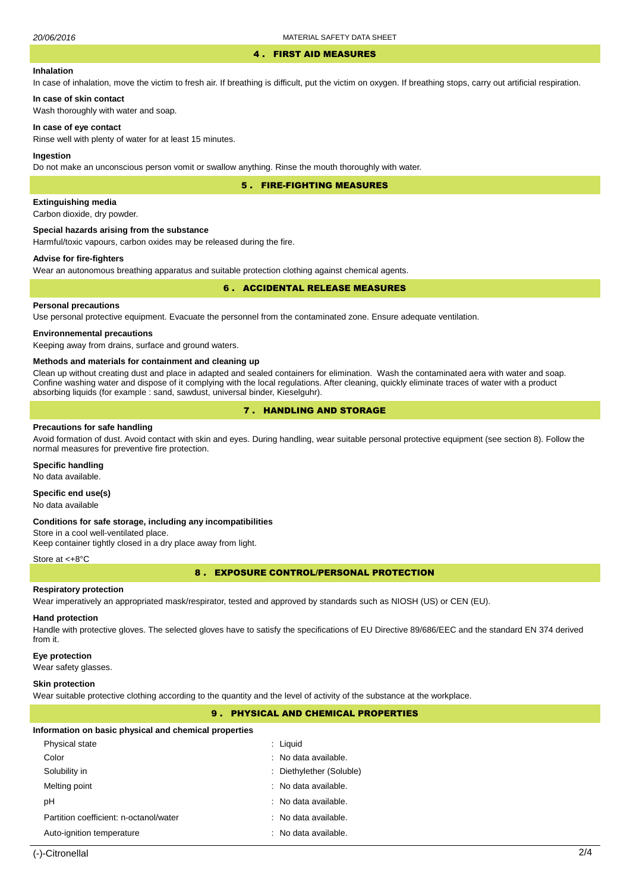#### 4 . FIRST AID MEASURES

### **Inhalation**

In case of inhalation, move the victim to fresh air. If breathing is difficult, put the victim on oxygen. If breathing stops, carry out artificial respiration.

Wash thoroughly with water and soap.

#### **In case of eye contact**

**In case of skin contact**

Rinse well with plenty of water for at least 15 minutes.

#### **Ingestion**

Do not make an unconscious person vomit or swallow anything. Rinse the mouth thoroughly with water.

5 . FIRE-FIGHTING MEASURES

# **Extinguishing media**

Carbon dioxide, dry powder.

#### **Special hazards arising from the substance**

Harmful/toxic vapours, carbon oxides may be released during the fire.

# **Advise for fire-fighters**

Wear an autonomous breathing apparatus and suitable protection clothing against chemical agents.

### 6 . ACCIDENTAL RELEASE MEASURES

# **Personal precautions**

Use personal protective equipment. Evacuate the personnel from the contaminated zone. Ensure adequate ventilation.

#### **Environnemental precautions**

Keeping away from drains, surface and ground waters.

#### **Methods and materials for containment and cleaning up**

Clean up without creating dust and place in adapted and sealed containers for elimination. Wash the contaminated aera with water and soap. Confine washing water and dispose of it complying with the local regulations. After cleaning, quickly eliminate traces of water with a product absorbing liquids (for example : sand, sawdust, universal binder, Kieselguhr).

# 7 . HANDLING AND STORAGE

#### **Precautions for safe handling**

Avoid formation of dust. Avoid contact with skin and eyes. During handling, wear suitable personal protective equipment (see section 8). Follow the normal measures for preventive fire protection.

### **Specific handling**

No data available.

# **Specific end use(s)**

No data available

#### **Conditions for safe storage, including any incompatibilities**

Store in a cool well-ventilated place. Keep container tightly closed in a dry place away from light.

#### Store at <+8°C

8 . EXPOSURE CONTROL/PERSONAL PROTECTION

#### **Respiratory protection**

Wear imperatively an appropriated mask/respirator, tested and approved by standards such as NIOSH (US) or CEN (EU).

#### **Hand protection**

Handle with protective gloves. The selected gloves have to satisfy the specifications of EU Directive 89/686/EEC and the standard EN 374 derived from it.

#### **Eye protection**

Wear safety glasses.

#### **Skin protection**

Wear suitable protective clothing according to the quantity and the level of activity of the substance at the workplace.

# 9 . PHYSICAL AND CHEMICAL PROPERTIES

#### **Information on basic physical and chemical properties**

| Physical state                         | : Liguid                 |
|----------------------------------------|--------------------------|
| Color                                  | $:$ No data available.   |
| Solubility in                          | : Diethylether (Soluble) |
| Melting point                          | : No data available.     |
| рH                                     | : No data available.     |
| Partition coefficient: n-octanol/water | : No data available.     |
| Auto-ignition temperature              | : No data available.     |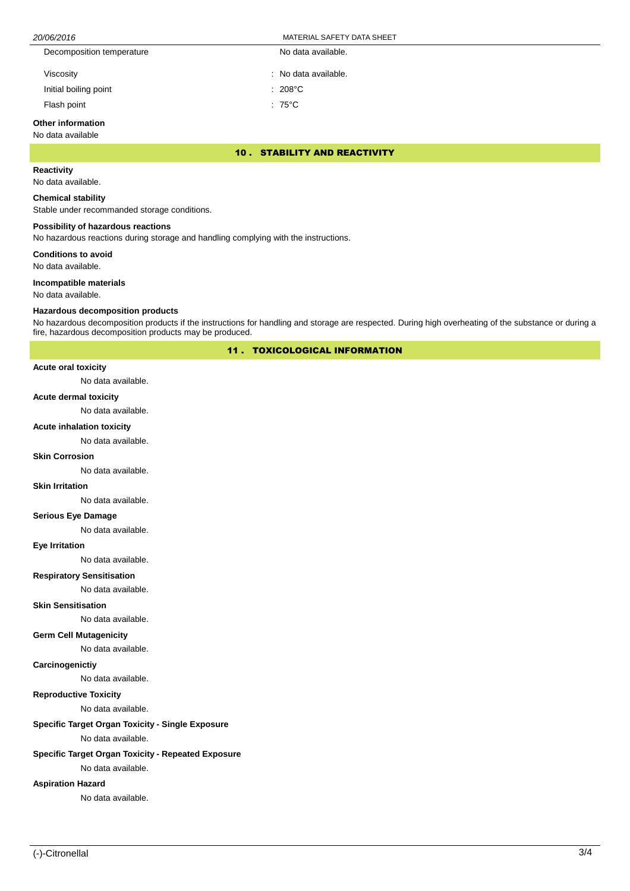| MATERIAL SAFETY DATA SHEET<br>20/06/2016 |                      |  |
|------------------------------------------|----------------------|--|
| Decomposition temperature                | No data available.   |  |
| Viscosity                                | : No data available. |  |
| Initial boiling point                    | $: 208^{\circ}$ C    |  |
| Flash point                              | : 75°C               |  |

# **Other information**

# No data available

10 . STABILITY AND REACTIVITY

# **Reactivity**

No data available.

#### **Chemical stability**

Stable under recommanded storage conditions.

#### **Possibility of hazardous reactions**

No hazardous reactions during storage and handling complying with the instructions.

**Conditions to avoid**

No data available.

#### **Incompatible materials**

No data available.

#### **Hazardous decomposition products**

No hazardous decomposition products if the instructions for handling and storage are respected. During high overheating of the substance or during a fire, hazardous decomposition products may be produced.

11 . TOXICOLOGICAL INFORMATION

#### **Acute oral toxicity**

No data available.

#### **Acute dermal toxicity**

No data available.

#### **Acute inhalation toxicity**

No data available.

### **Skin Corrosion**

No data available.

#### **Skin Irritation**

No data available.

# **Serious Eye Damage**

No data available.

#### **Eye Irritation**

No data available.

## **Respiratory Sensitisation**

No data available.

#### **Skin Sensitisation**

No data available.

#### **Germ Cell Mutagenicity**

No data available.

# **Carcinogenictiy**

No data available.

# **Reproductive Toxicity**

No data available.

# **Specific Target Organ Toxicity - Single Exposure**

No data available.

# **Specific Target Organ Toxicity - Repeated Exposure**

No data available.

# **Aspiration Hazard**

No data available.